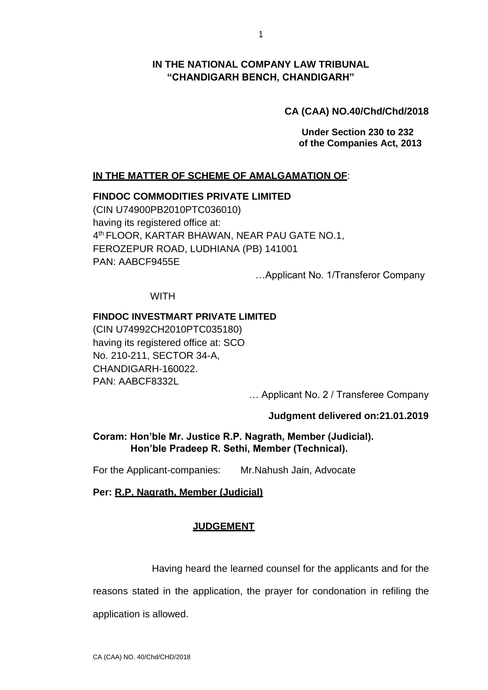## **IN THE NATIONAL COMPANY LAW TRIBUNAL "CHANDIGARH BENCH, CHANDIGARH"**

## **CA (CAA) NO.40/Chd/Chd/2018**

**Under Section 230 to 232 of the Companies Act, 2013**

## **IN THE MATTER OF SCHEME OF AMALGAMATION OF**:

#### **FINDOC COMMODITIES PRIVATE LIMITED**

(CIN U74900PB2010PTC036010) having its registered office at: 4 th FLOOR, KARTAR BHAWAN, NEAR PAU GATE NO.1, FEROZEPUR ROAD, LUDHIANA (PB) 141001 PAN: AABCF9455E

…Applicant No. 1/Transferor Company

**WITH** 

#### **FINDOC INVESTMART PRIVATE LIMITED**

(CIN U74992CH2010PTC035180) having its registered office at: SCO No. 210-211, SECTOR 34-A, CHANDIGARH-160022. PAN: AABCF8332L

… Applicant No. 2 / Transferee Company

#### **Judgment delivered on:21.01.2019**

## **Coram: Hon'ble Mr. Justice R.P. Nagrath, Member (Judicial). Hon'ble Pradeep R. Sethi, Member (Technical).**

For the Applicant-companies: Mr.Nahush Jain, Advocate

#### **Per: R.P. Nagrath, Member (Judicial)**

#### **JUDGEMENT**

Having heard the learned counsel for the applicants and for the

reasons stated in the application, the prayer for condonation in refiling the

application is allowed.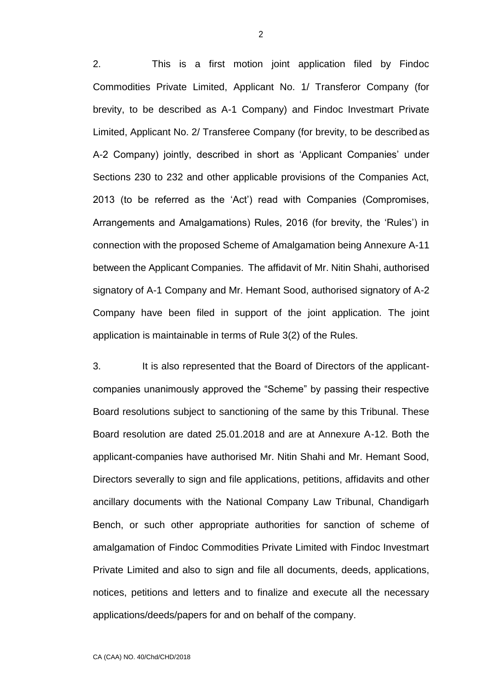2. This is a first motion joint application filed by Findoc Commodities Private Limited, Applicant No. 1/ Transferor Company (for brevity, to be described as A-1 Company) and Findoc Investmart Private Limited, Applicant No. 2/ Transferee Company (for brevity, to be described as A-2 Company) jointly, described in short as 'Applicant Companies' under Sections 230 to 232 and other applicable provisions of the Companies Act, 2013 (to be referred as the 'Act') read with Companies (Compromises, Arrangements and Amalgamations) Rules, 2016 (for brevity, the 'Rules') in connection with the proposed Scheme of Amalgamation being Annexure A-11 between the Applicant Companies. The affidavit of Mr. Nitin Shahi, authorised signatory of A-1 Company and Mr. Hemant Sood, authorised signatory of A-2 Company have been filed in support of the joint application. The joint application is maintainable in terms of Rule 3(2) of the Rules.

3. It is also represented that the Board of Directors of the applicantcompanies unanimously approved the "Scheme" by passing their respective Board resolutions subject to sanctioning of the same by this Tribunal. These Board resolution are dated 25.01.2018 and are at Annexure A-12. Both the applicant-companies have authorised Mr. Nitin Shahi and Mr. Hemant Sood, Directors severally to sign and file applications, petitions, affidavits and other ancillary documents with the National Company Law Tribunal, Chandigarh Bench, or such other appropriate authorities for sanction of scheme of amalgamation of Findoc Commodities Private Limited with Findoc Investmart Private Limited and also to sign and file all documents, deeds, applications, notices, petitions and letters and to finalize and execute all the necessary applications/deeds/papers for and on behalf of the company.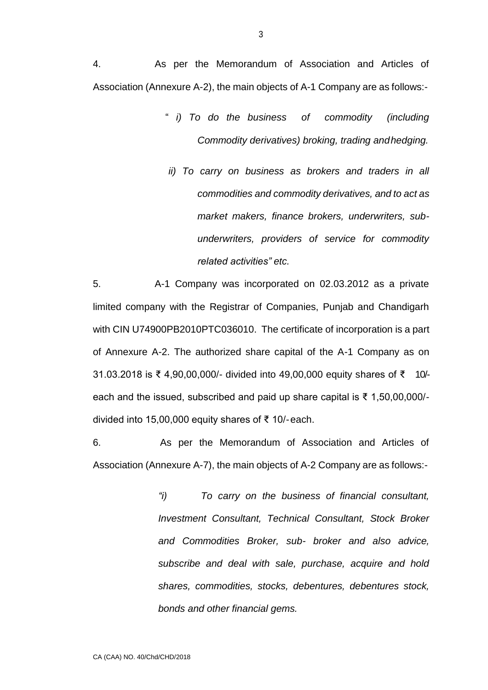4. As per the Memorandum of Association and Articles of Association (Annexure A-2), the main objects of A-1 Company are as follows:-

- " *i) To do the business of commodity (including Commodity derivatives) broking, trading andhedging.*
	- *ii) To carry on business as brokers and traders in all commodities and commodity derivatives, and to act as market makers, finance brokers, underwriters, subunderwriters, providers of service for commodity related activities" etc.*

5. A-1 Company was incorporated on 02.03.2012 as a private limited company with the Registrar of Companies, Punjab and Chandigarh with CIN U74900PB2010PTC036010. The certificate of incorporation is a part of Annexure A-2. The authorized share capital of the A-1 Company as on 31.03.2018 is ₹ 4,90,00,000/- divided into 49,00,000 equity shares of ₹ 10/ each and the issued, subscribed and paid up share capital is ₹ 1,50,00,000/ divided into 15,00,000 equity shares of ₹ 10/-each.

6. As per the Memorandum of Association and Articles of Association (Annexure A-7), the main objects of A-2 Company are as follows:-

> *"i) To carry on the business of financial consultant, Investment Consultant, Technical Consultant, Stock Broker and Commodities Broker, sub- broker and also advice, subscribe and deal with sale, purchase, acquire and hold shares, commodities, stocks, debentures, debentures stock, bonds and other financial gems.*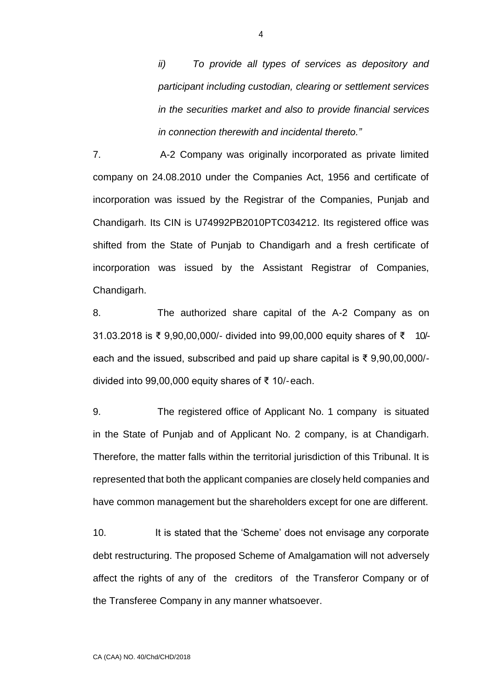*ii) To provide all types of services as depository and participant including custodian, clearing or settlement services in the securities market and also to provide financial services in connection therewith and incidental thereto."*

7. A-2 Company was originally incorporated as private limited company on 24.08.2010 under the Companies Act, 1956 and certificate of incorporation was issued by the Registrar of the Companies, Punjab and Chandigarh. Its CIN is U74992PB2010PTC034212. Its registered office was shifted from the State of Punjab to Chandigarh and a fresh certificate of incorporation was issued by the Assistant Registrar of Companies, Chandigarh.

8. The authorized share capital of the A-2 Company as on 31.03.2018 is ₹ 9,90,00,000/- divided into 99,00,000 equity shares of ₹ 10/ each and the issued, subscribed and paid up share capital is ₹ 9,90,00,000/ divided into 99,00,000 equity shares of ₹ 10/-each.

9. The registered office of Applicant No. 1 company is situated in the State of Punjab and of Applicant No. 2 company, is at Chandigarh. Therefore, the matter falls within the territorial jurisdiction of this Tribunal. It is represented that both the applicant companies are closely held companies and have common management but the shareholders except for one are different.

10. It is stated that the 'Scheme' does not envisage any corporate debt restructuring. The proposed Scheme of Amalgamation will not adversely affect the rights of any of the creditors of the Transferor Company or of the Transferee Company in any manner whatsoever.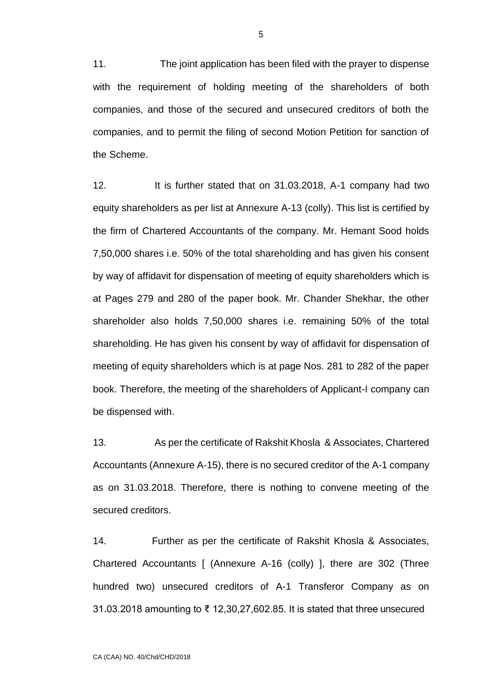11. The joint application has been filed with the prayer to dispense with the requirement of holding meeting of the shareholders of both companies, and those of the secured and unsecured creditors of both the companies, and to permit the filing of second Motion Petition for sanction of the Scheme.

12. It is further stated that on 31.03.2018, A-1 company had two equity shareholders as per list at Annexure A-13 (colly). This list is certified by the firm of Chartered Accountants of the company. Mr. Hemant Sood holds 7,50,000 shares i.e. 50% of the total shareholding and has given his consent by way of affidavit for dispensation of meeting of equity shareholders which is at Pages 279 and 280 of the paper book. Mr. Chander Shekhar, the other shareholder also holds 7,50,000 shares i.e. remaining 50% of the total shareholding. He has given his consent by way of affidavit for dispensation of meeting of equity shareholders which is at page Nos. 281 to 282 of the paper book. Therefore, the meeting of the shareholders of Applicant-I company can be dispensed with.

13. As per the certificate of Rakshit Khosla & Associates, Chartered Accountants (Annexure A-15), there is no secured creditor of the A-1 company as on 31.03.2018. Therefore, there is nothing to convene meeting of the secured creditors.

14. Further as per the certificate of Rakshit Khosla & Associates, Chartered Accountants [ (Annexure A-16 (colly) ], there are 302 (Three hundred two) unsecured creditors of A-1 Transferor Company as on 31.03.2018 amounting to ₹ 12,30,27,602.85. It is stated that three unsecured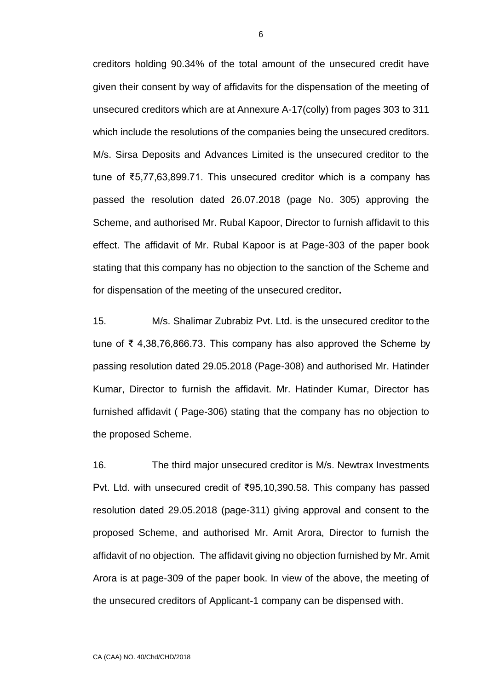creditors holding 90.34% of the total amount of the unsecured credit have given their consent by way of affidavits for the dispensation of the meeting of unsecured creditors which are at Annexure A-17(colly) from pages 303 to 311 which include the resolutions of the companies being the unsecured creditors. M/s. Sirsa Deposits and Advances Limited is the unsecured creditor to the tune of ₹5,77,63,899.71. This unsecured creditor which is a company has passed the resolution dated 26.07.2018 (page No. 305) approving the Scheme, and authorised Mr. Rubal Kapoor, Director to furnish affidavit to this effect. The affidavit of Mr. Rubal Kapoor is at Page-303 of the paper book stating that this company has no objection to the sanction of the Scheme and for dispensation of the meeting of the unsecured creditor**.**

15. M/s. Shalimar Zubrabiz Pvt. Ltd. is the unsecured creditor to the tune of ₹ 4,38,76,866.73. This company has also approved the Scheme by passing resolution dated 29.05.2018 (Page-308) and authorised Mr. Hatinder Kumar, Director to furnish the affidavit. Mr. Hatinder Kumar, Director has furnished affidavit ( Page-306) stating that the company has no objection to the proposed Scheme.

16. The third major unsecured creditor is M/s. Newtrax Investments Pvt. Ltd. with unsecured credit of ₹95,10,390.58. This company has passed resolution dated 29.05.2018 (page-311) giving approval and consent to the proposed Scheme, and authorised Mr. Amit Arora, Director to furnish the affidavit of no objection. The affidavit giving no objection furnished by Mr. Amit Arora is at page-309 of the paper book. In view of the above, the meeting of the unsecured creditors of Applicant-1 company can be dispensed with.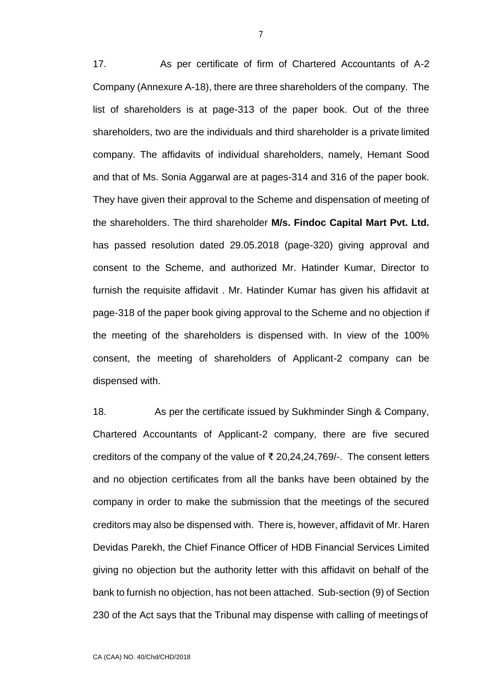17. As per certificate of firm of Chartered Accountants of A-2 Company (Annexure A-18), there are three shareholders of the company. The list of shareholders is at page-313 of the paper book. Out of the three shareholders, two are the individuals and third shareholder is a private limited company. The affidavits of individual shareholders, namely, Hemant Sood and that of Ms. Sonia Aggarwal are at pages-314 and 316 of the paper book. They have given their approval to the Scheme and dispensation of meeting of the shareholders. The third shareholder **M/s. Findoc Capital Mart Pvt. Ltd.**  has passed resolution dated 29.05.2018 (page-320) giving approval and consent to the Scheme, and authorized Mr. Hatinder Kumar, Director to furnish the requisite affidavit . Mr. Hatinder Kumar has given his affidavit at page-318 of the paper book giving approval to the Scheme and no objection if the meeting of the shareholders is dispensed with. In view of the 100% consent, the meeting of shareholders of Applicant-2 company can be dispensed with.

18. As per the certificate issued by Sukhminder Singh & Company, Chartered Accountants of Applicant-2 company, there are five secured creditors of the company of the value of ₹ 20,24,24,769/-. The consent letters and no objection certificates from all the banks have been obtained by the company in order to make the submission that the meetings of the secured creditors may also be dispensed with. There is, however, affidavit of Mr. Haren Devidas Parekh, the Chief Finance Officer of HDB Financial Services Limited giving no objection but the authority letter with this affidavit on behalf of the bank to furnish no objection, has not been attached. Sub-section (9) of Section 230 of the Act says that the Tribunal may dispense with calling of meetings of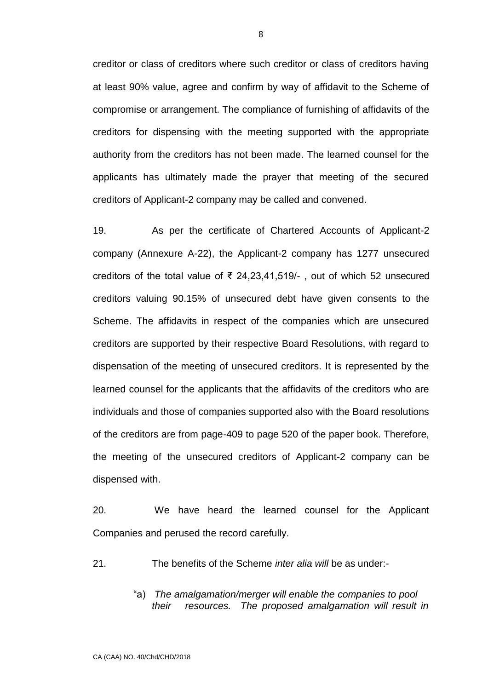creditor or class of creditors where such creditor or class of creditors having at least 90% value, agree and confirm by way of affidavit to the Scheme of compromise or arrangement. The compliance of furnishing of affidavits of the creditors for dispensing with the meeting supported with the appropriate authority from the creditors has not been made. The learned counsel for the applicants has ultimately made the prayer that meeting of the secured creditors of Applicant-2 company may be called and convened.

19. As per the certificate of Chartered Accounts of Applicant-2 company (Annexure A-22), the Applicant-2 company has 1277 unsecured creditors of the total value of ₹ 24,23,41,519/- , out of which 52 unsecured creditors valuing 90.15% of unsecured debt have given consents to the Scheme. The affidavits in respect of the companies which are unsecured creditors are supported by their respective Board Resolutions, with regard to dispensation of the meeting of unsecured creditors. It is represented by the learned counsel for the applicants that the affidavits of the creditors who are individuals and those of companies supported also with the Board resolutions of the creditors are from page-409 to page 520 of the paper book. Therefore, the meeting of the unsecured creditors of Applicant-2 company can be dispensed with.

20. We have heard the learned counsel for the Applicant Companies and perused the record carefully.

21. The benefits of the Scheme *inter alia will* be as under:-

"a) *The amalgamation/merger will enable the companies to pool their resources. The proposed amalgamation will result in*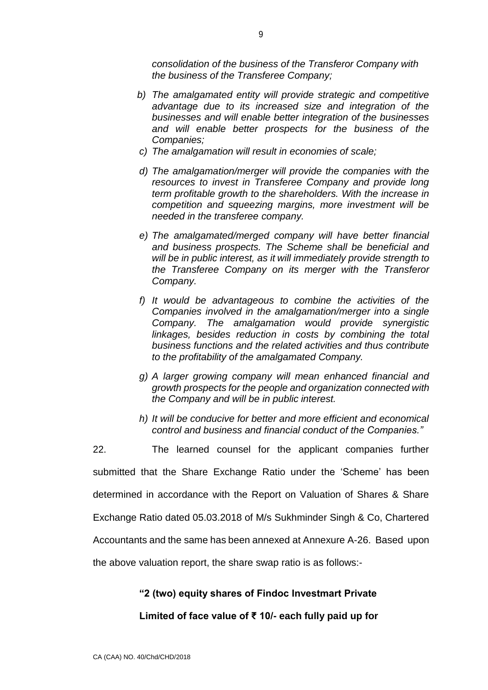*consolidation of the business of the Transferor Company with the business of the Transferee Company;*

- *b) The amalgamated entity will provide strategic and competitive advantage due to its increased size and integration of the businesses and will enable better integration of the businesses and will enable better prospects for the business of the Companies;*
- *c) The amalgamation will result in economies of scale;*
- *d) The amalgamation/merger will provide the companies with the resources to invest in Transferee Company and provide long term profitable growth to the shareholders. With the increase in competition and squeezing margins, more investment will be needed in the transferee company.*
- *e) The amalgamated/merged company will have better financial and business prospects. The Scheme shall be beneficial and will be in public interest, as it will immediately provide strength to the Transferee Company on its merger with the Transferor Company.*
- *f) It would be advantageous to combine the activities of the Companies involved in the amalgamation/merger into a single Company. The amalgamation would provide synergistic linkages, besides reduction in costs by combining the total business functions and the related activities and thus contribute to the profitability of the amalgamated Company.*
- *g) A larger growing company will mean enhanced financial and growth prospects for the people and organization connected with the Company and will be in public interest.*
- *h) It will be conducive for better and more efficient and economical control and business and financial conduct of the Companies."*

22. The learned counsel for the applicant companies further submitted that the Share Exchange Ratio under the 'Scheme' has been determined in accordance with the Report on Valuation of Shares & Share Exchange Ratio dated 05.03.2018 of M/s Sukhminder Singh & Co, Chartered Accountants and the same has been annexed at Annexure A-26. Based upon the above valuation report, the share swap ratio is as follows:-

## **"2 (two) equity shares of Findoc Investmart Private**

#### **Limited of face value of ₹ 10/- each fully paid up for**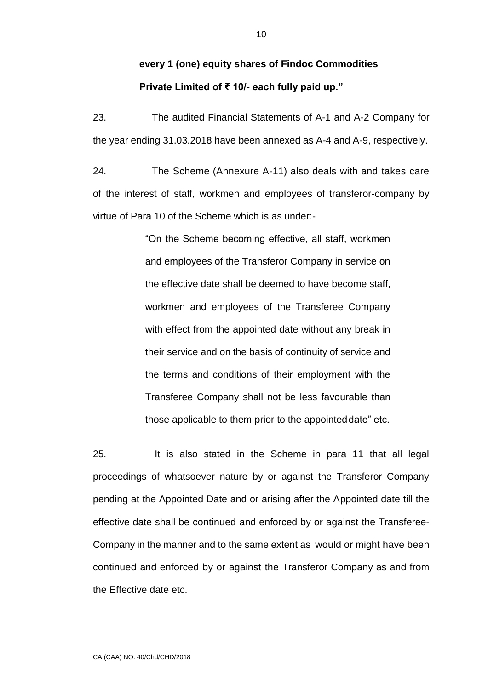# **every 1 (one) equity shares of Findoc Commodities Private Limited of ₹ 10/- each fully paid up."**

23. The audited Financial Statements of A-1 and A-2 Company for the year ending 31.03.2018 have been annexed as A-4 and A-9, respectively.

24. The Scheme (Annexure A-11) also deals with and takes care of the interest of staff, workmen and employees of transferor-company by virtue of Para 10 of the Scheme which is as under:-

> "On the Scheme becoming effective, all staff, workmen and employees of the Transferor Company in service on the effective date shall be deemed to have become staff, workmen and employees of the Transferee Company with effect from the appointed date without any break in their service and on the basis of continuity of service and the terms and conditions of their employment with the Transferee Company shall not be less favourable than those applicable to them prior to the appointeddate" etc.

25. It is also stated in the Scheme in para 11 that all legal proceedings of whatsoever nature by or against the Transferor Company pending at the Appointed Date and or arising after the Appointed date till the effective date shall be continued and enforced by or against the Transferee-Company in the manner and to the same extent as would or might have been continued and enforced by or against the Transferor Company as and from the Effective date etc.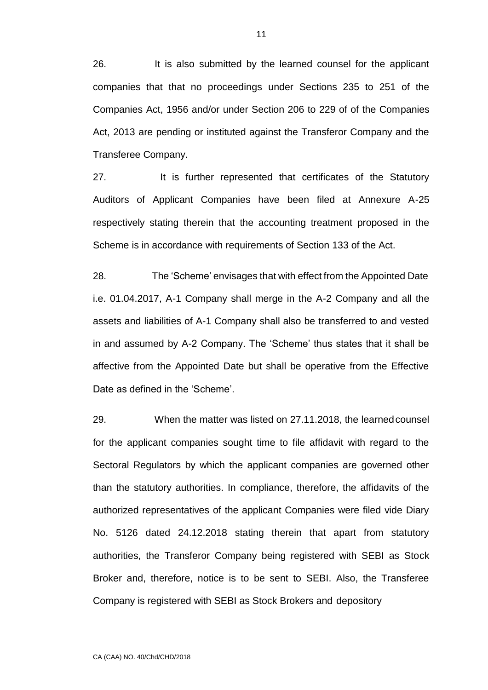26. It is also submitted by the learned counsel for the applicant companies that that no proceedings under Sections 235 to 251 of the Companies Act, 1956 and/or under Section 206 to 229 of of the Companies Act, 2013 are pending or instituted against the Transferor Company and the Transferee Company.

27. It is further represented that certificates of the Statutory Auditors of Applicant Companies have been filed at Annexure A-25 respectively stating therein that the accounting treatment proposed in the Scheme is in accordance with requirements of Section 133 of the Act.

28. The 'Scheme' envisages that with effect from the Appointed Date i.e. 01.04.2017, A-1 Company shall merge in the A-2 Company and all the assets and liabilities of A-1 Company shall also be transferred to and vested in and assumed by A-2 Company. The 'Scheme' thus states that it shall be affective from the Appointed Date but shall be operative from the Effective Date as defined in the 'Scheme'.

29. When the matter was listed on 27.11.2018, the learnedcounsel for the applicant companies sought time to file affidavit with regard to the Sectoral Regulators by which the applicant companies are governed other than the statutory authorities. In compliance, therefore, the affidavits of the authorized representatives of the applicant Companies were filed vide Diary No. 5126 dated 24.12.2018 stating therein that apart from statutory authorities, the Transferor Company being registered with SEBI as Stock Broker and, therefore, notice is to be sent to SEBI. Also, the Transferee Company is registered with SEBI as Stock Brokers and depository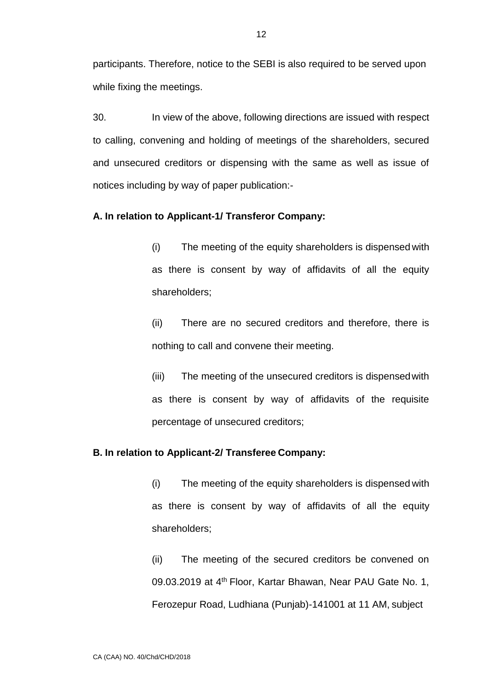participants. Therefore, notice to the SEBI is also required to be served upon while fixing the meetings.

30. In view of the above, following directions are issued with respect to calling, convening and holding of meetings of the shareholders, secured and unsecured creditors or dispensing with the same as well as issue of notices including by way of paper publication:-

## **A. In relation to Applicant-1/ Transferor Company:**

(i) The meeting of the equity shareholders is dispensed with as there is consent by way of affidavits of all the equity shareholders;

(ii) There are no secured creditors and therefore, there is nothing to call and convene their meeting.

(iii) The meeting of the unsecured creditors is dispensedwith as there is consent by way of affidavits of the requisite percentage of unsecured creditors;

#### **B. In relation to Applicant-2/ Transferee Company:**

(i) The meeting of the equity shareholders is dispensed with as there is consent by way of affidavits of all the equity shareholders;

(ii) The meeting of the secured creditors be convened on 09.03.2019 at 4<sup>th</sup> Floor, Kartar Bhawan, Near PAU Gate No. 1, Ferozepur Road, Ludhiana (Punjab)-141001 at 11 AM, subject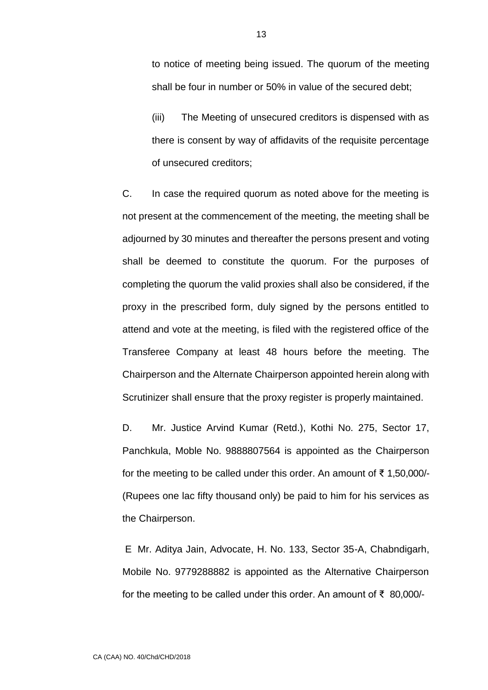to notice of meeting being issued. The quorum of the meeting shall be four in number or 50% in value of the secured debt;

(iii) The Meeting of unsecured creditors is dispensed with as there is consent by way of affidavits of the requisite percentage of unsecured creditors;

C. In case the required quorum as noted above for the meeting is not present at the commencement of the meeting, the meeting shall be adjourned by 30 minutes and thereafter the persons present and voting shall be deemed to constitute the quorum. For the purposes of completing the quorum the valid proxies shall also be considered, if the proxy in the prescribed form, duly signed by the persons entitled to attend and vote at the meeting, is filed with the registered office of the Transferee Company at least 48 hours before the meeting. The Chairperson and the Alternate Chairperson appointed herein along with Scrutinizer shall ensure that the proxy register is properly maintained.

D. Mr. Justice Arvind Kumar (Retd.), Kothi No. 275, Sector 17, Panchkula, Moble No. 9888807564 is appointed as the Chairperson for the meeting to be called under this order. An amount of ₹ 1,50,000/- (Rupees one lac fifty thousand only) be paid to him for his services as the Chairperson.

E Mr. Aditya Jain, Advocate, H. No. 133, Sector 35-A, Chabndigarh, Mobile No. 9779288882 is appointed as the Alternative Chairperson for the meeting to be called under this order. An amount of ₹ 80,000/-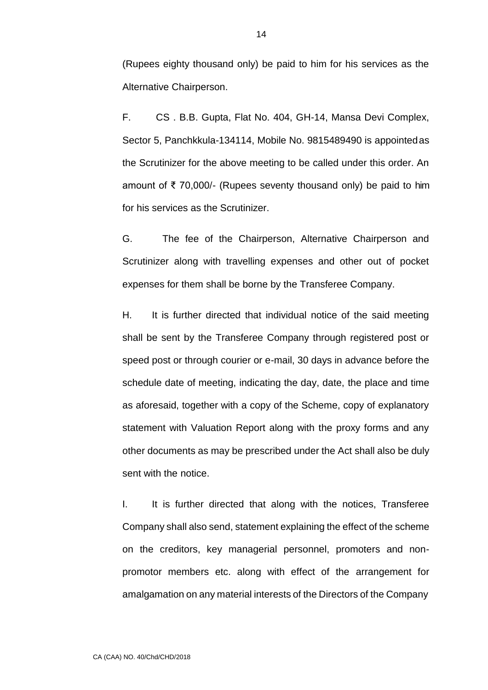(Rupees eighty thousand only) be paid to him for his services as the Alternative Chairperson.

F. CS . B.B. Gupta, Flat No. 404, GH-14, Mansa Devi Complex, Sector 5, Panchkkula-134114, Mobile No. 9815489490 is appointedas the Scrutinizer for the above meeting to be called under this order. An amount of ₹ 70,000/- (Rupees seventy thousand only) be paid to him for his services as the Scrutinizer.

G. The fee of the Chairperson, Alternative Chairperson and Scrutinizer along with travelling expenses and other out of pocket expenses for them shall be borne by the Transferee Company.

H. It is further directed that individual notice of the said meeting shall be sent by the Transferee Company through registered post or speed post or through courier or e-mail, 30 days in advance before the schedule date of meeting, indicating the day, date, the place and time as aforesaid, together with a copy of the Scheme, copy of explanatory statement with Valuation Report along with the proxy forms and any other documents as may be prescribed under the Act shall also be duly sent with the notice.

I. It is further directed that along with the notices, Transferee Company shall also send, statement explaining the effect of the scheme on the creditors, key managerial personnel, promoters and nonpromotor members etc. along with effect of the arrangement for amalgamation on any material interests of the Directors of the Company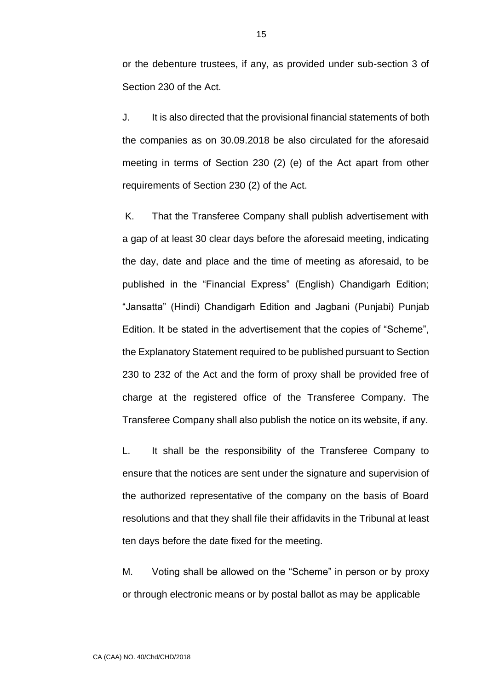or the debenture trustees, if any, as provided under sub-section 3 of Section 230 of the Act.

J. It is also directed that the provisional financial statements of both the companies as on 30.09.2018 be also circulated for the aforesaid meeting in terms of Section 230 (2) (e) of the Act apart from other requirements of Section 230 (2) of the Act.

K. That the Transferee Company shall publish advertisement with a gap of at least 30 clear days before the aforesaid meeting, indicating the day, date and place and the time of meeting as aforesaid, to be published in the "Financial Express" (English) Chandigarh Edition; "Jansatta" (Hindi) Chandigarh Edition and Jagbani (Punjabi) Punjab Edition. It be stated in the advertisement that the copies of "Scheme", the Explanatory Statement required to be published pursuant to Section 230 to 232 of the Act and the form of proxy shall be provided free of charge at the registered office of the Transferee Company. The Transferee Company shall also publish the notice on its website, if any.

L. It shall be the responsibility of the Transferee Company to ensure that the notices are sent under the signature and supervision of the authorized representative of the company on the basis of Board resolutions and that they shall file their affidavits in the Tribunal at least ten days before the date fixed for the meeting.

M. Voting shall be allowed on the "Scheme" in person or by proxy or through electronic means or by postal ballot as may be applicable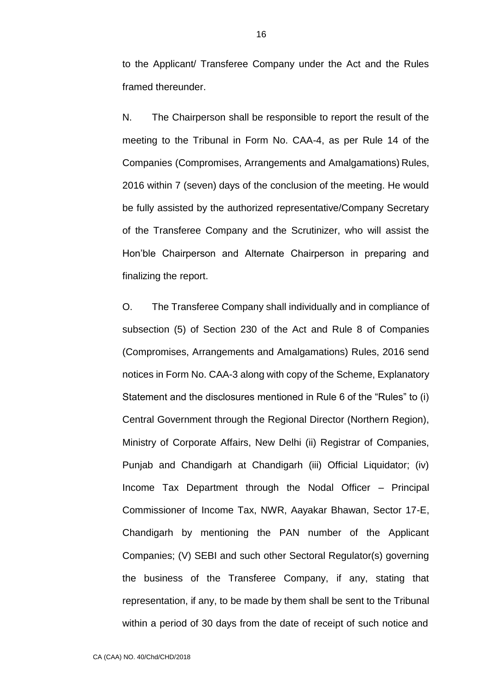to the Applicant/ Transferee Company under the Act and the Rules framed thereunder.

N. The Chairperson shall be responsible to report the result of the meeting to the Tribunal in Form No. CAA-4, as per Rule 14 of the Companies (Compromises, Arrangements and Amalgamations) Rules, 2016 within 7 (seven) days of the conclusion of the meeting. He would be fully assisted by the authorized representative/Company Secretary of the Transferee Company and the Scrutinizer, who will assist the Hon'ble Chairperson and Alternate Chairperson in preparing and finalizing the report.

O. The Transferee Company shall individually and in compliance of subsection (5) of Section 230 of the Act and Rule 8 of Companies (Compromises, Arrangements and Amalgamations) Rules, 2016 send notices in Form No. CAA-3 along with copy of the Scheme, Explanatory Statement and the disclosures mentioned in Rule 6 of the "Rules" to (i) Central Government through the Regional Director (Northern Region), Ministry of Corporate Affairs, New Delhi (ii) Registrar of Companies, Punjab and Chandigarh at Chandigarh (iii) Official Liquidator; (iv) Income Tax Department through the Nodal Officer – Principal Commissioner of Income Tax, NWR, Aayakar Bhawan, Sector 17-E, Chandigarh by mentioning the PAN number of the Applicant Companies; (V) SEBI and such other Sectoral Regulator(s) governing the business of the Transferee Company, if any, stating that representation, if any, to be made by them shall be sent to the Tribunal within a period of 30 days from the date of receipt of such notice and